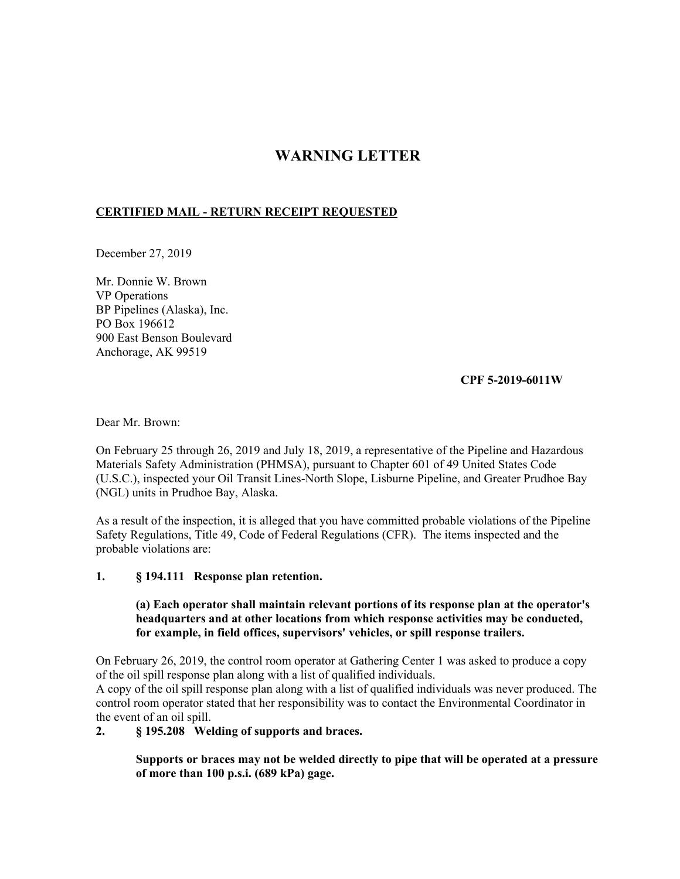## **WARNING LETTER**

## **CERTIFIED MAIL - RETURN RECEIPT REQUESTED**

December 27, 2019

Mr. Donnie W. Brown VP Operations BP Pipelines (Alaska), Inc. PO Box 196612 900 East Benson Boulevard Anchorage, AK 99519

## **CPF 5-2019-6011W**

Dear Mr. Brown:

On February 25 through 26, 2019 and July 18, 2019, a representative of the Pipeline and Hazardous Materials Safety Administration (PHMSA), pursuant to Chapter 601 of 49 United States Code (U.S.C.), inspected your Oil Transit Lines-North Slope, Lisburne Pipeline, and Greater Prudhoe Bay (NGL) units in Prudhoe Bay, Alaska.

As a result of the inspection, it is alleged that you have committed probable violations of the Pipeline Safety Regulations, Title 49, Code of Federal Regulations (CFR). The items inspected and the probable violations are:

## **1. § 194.111 Response plan retention.**

**(a) Each operator shall maintain relevant portions of its response plan at the operator's headquarters and at other locations from which response activities may be conducted, for example, in field offices, supervisors' vehicles, or spill response trailers.** 

On February 26, 2019, the control room operator at Gathering Center 1 was asked to produce a copy of the oil spill response plan along with a list of qualified individuals.

A copy of the oil spill response plan along with a list of qualified individuals was never produced. The control room operator stated that her responsibility was to contact the Environmental Coordinator in the event of an oil spill.

**2. § 195.208 Welding of supports and braces.** 

**Supports or braces may not be welded directly to pipe that will be operated at a pressure of more than 100 p.s.i. (689 kPa) gage.**